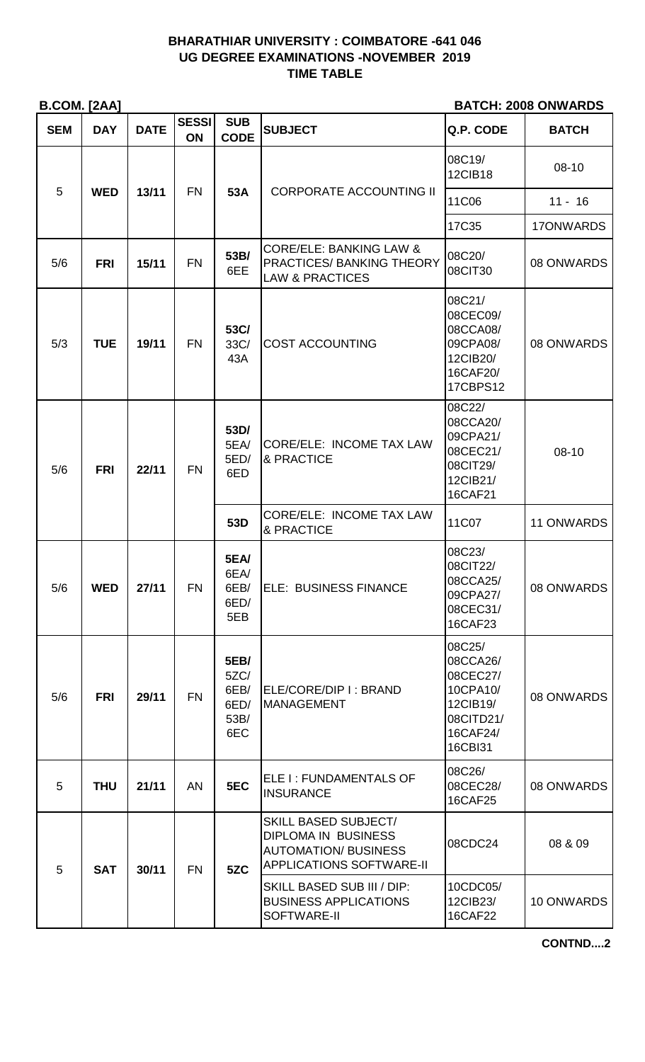## **BHARATHIAR UNIVERSITY : COIMBATORE -641 046 UG DEGREE EXAMINATIONS -NOVEMBER 2019 TIME TABLE**

**B.COM. [2AA] BATCH: 2008 ONWARDS**

| <b>SEM</b> | <b>DAY</b> | <b>DATE</b> | <b>SESSI</b><br>ON | <b>SUB</b><br><b>CODE</b>                          | <b>SUBJECT</b>                                                                                                              | Q.P. CODE                                                                                  | <b>BATCH</b> |
|------------|------------|-------------|--------------------|----------------------------------------------------|-----------------------------------------------------------------------------------------------------------------------------|--------------------------------------------------------------------------------------------|--------------|
| 5          | <b>WED</b> | 13/11       | <b>FN</b>          | 53A                                                | <b>CORPORATE ACCOUNTING II</b>                                                                                              | 08C19/<br><b>12CIB18</b>                                                                   | $08 - 10$    |
|            |            |             |                    |                                                    |                                                                                                                             | 11C06                                                                                      | $11 - 16$    |
|            |            |             |                    |                                                    |                                                                                                                             | 17C35                                                                                      | 17ONWARDS    |
| 5/6        | <b>FRI</b> | 15/11       | <b>FN</b>          | 53B/<br>6EE                                        | <b>CORE/ELE: BANKING LAW &amp;</b><br><b>PRACTICES/ BANKING THEORY</b><br><b>LAW &amp; PRACTICES</b>                        | 08C20/<br>08CIT30                                                                          | 08 ONWARDS   |
| 5/3        | <b>TUE</b> | 19/11       | <b>FN</b>          | 53C/<br>33C/<br>43A                                | <b>COST ACCOUNTING</b>                                                                                                      | 08C21/<br>08CEC09/<br>08CCA08/<br>09CPA08/<br>12CIB20/<br>16CAF20/<br><b>17CBPS12</b>      | 08 ONWARDS   |
| 5/6        | <b>FRI</b> | 22/11       | <b>FN</b>          | 53D/<br>5EA/<br>5ED/<br>6ED                        | <b>CORE/ELE: INCOME TAX LAW</b><br>& PRACTICE                                                                               | 08C22/<br>08CCA20/<br>09CPA21/<br>08CEC21/<br>08CIT29/<br>12CIB21/<br><b>16CAF21</b>       | $08 - 10$    |
|            |            |             |                    | 53D                                                | <b>CORE/ELE: INCOME TAX LAW</b><br>& PRACTICE                                                                               | 11C07                                                                                      | 11 ONWARDS   |
| 5/6        | <b>WED</b> | 27/11       | <b>FN</b>          | 5EA/<br>6EA/<br>6EB/<br>6ED/<br>5EB                | <b>ELE: BUSINESS FINANCE</b>                                                                                                | 08C23/<br>08CIT22/<br>08CCA25/<br>09CPA27/<br>08CEC31/<br>16CAF23                          | 08 ONWARDS   |
| 5/6        | <b>FRI</b> | 29/11       | <b>FN</b>          | <b>5EB/</b><br>5ZC/<br>6EB/<br>6ED/<br>53B/<br>6EC | ELE/CORE/DIP I: BRAND<br><b>MANAGEMENT</b>                                                                                  | 08C25/<br>08CCA26/<br>08CEC27/<br>10CPA10/<br>12CIB19/<br>08CITD21/<br>16CAF24/<br>16CBI31 | 08 ONWARDS   |
| 5          | <b>THU</b> | 21/11       | <b>AN</b>          | 5EC                                                | ELE I : FUNDAMENTALS OF<br><b>INSURANCE</b>                                                                                 | 08C26/<br>08CEC28/<br><b>16CAF25</b>                                                       | 08 ONWARDS   |
| 5          | <b>SAT</b> | 30/11       | <b>FN</b>          | 5ZC                                                | <b>SKILL BASED SUBJECT/</b><br><b>DIPLOMA IN BUSINESS</b><br><b>AUTOMATION/ BUSINESS</b><br><b>APPLICATIONS SOFTWARE-II</b> | 08CDC24                                                                                    | 08 & 09      |
|            |            |             |                    |                                                    | SKILL BASED SUB III / DIP:<br><b>BUSINESS APPLICATIONS</b><br>SOFTWARE-II                                                   | 10CDC05/<br>12CIB23/<br><b>16CAF22</b>                                                     | 10 ONWARDS   |

**CONTND....2**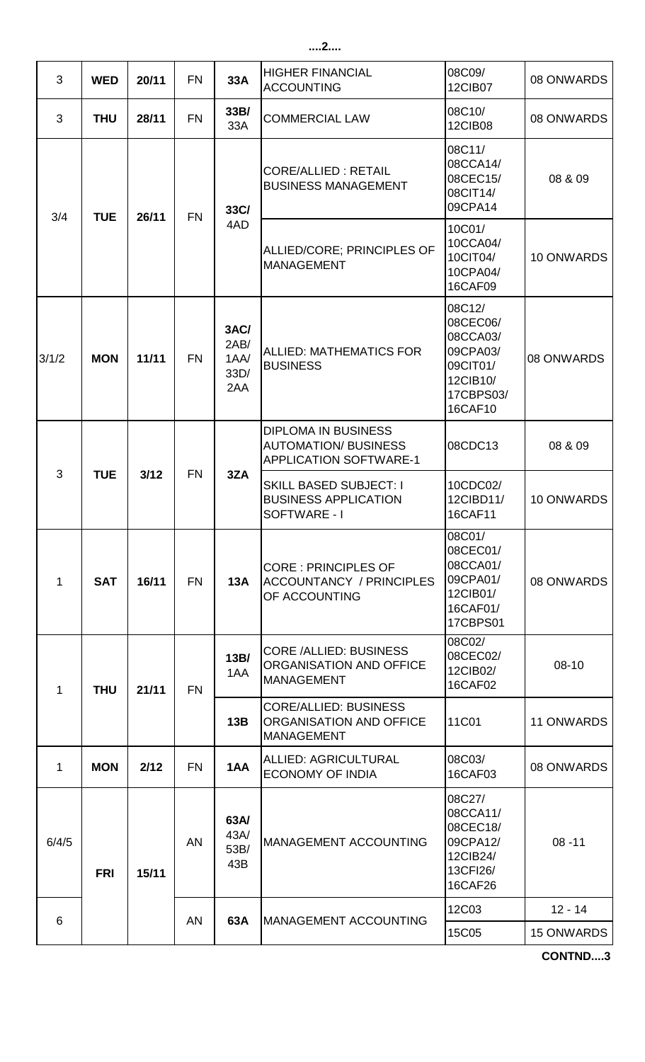| 3            | <b>WED</b> | 20/11 | <b>FN</b> | 33A                                 | <b>HIGHER FINANCIAL</b><br><b>ACCOUNTING</b>                                               | 08C09/<br>12CIB07                                                                          | 08 ONWARDS        |     |                                                                              |
|--------------|------------|-------|-----------|-------------------------------------|--------------------------------------------------------------------------------------------|--------------------------------------------------------------------------------------------|-------------------|-----|------------------------------------------------------------------------------|
| 3            | <b>THU</b> | 28/11 | <b>FN</b> | 33B/<br>33A                         | <b>COMMERCIAL LAW</b>                                                                      | 08C10/<br><b>12CIB08</b>                                                                   | 08 ONWARDS        |     |                                                                              |
| 3/4          | <b>TUE</b> | 26/11 | <b>FN</b> | 33C/                                | <b>CORE/ALLIED: RETAIL</b><br><b>BUSINESS MANAGEMENT</b>                                   | 08C11/<br>08CCA14/<br>08CEC15/<br>08CIT14/<br>09CPA14                                      | 08 & 09           |     |                                                                              |
|              |            |       |           | 4AD                                 | ALLIED/CORE; PRINCIPLES OF<br><b>MANAGEMENT</b>                                            | 10C01/<br>10CCA04/<br>10CIT04/<br>10CPA04/<br>16CAF09                                      | 10 ONWARDS        |     |                                                                              |
| 3/1/2        | <b>MON</b> | 11/11 | <b>FN</b> | 3AC/<br>2AB/<br>1AA/<br>33D/<br>2AA | <b>ALLIED: MATHEMATICS FOR</b><br><b>BUSINESS</b>                                          | 08C12/<br>08CEC06/<br>08CCA03/<br>09CPA03/<br>09CIT01/<br>12CIB10/<br>17CBPS03/<br>16CAF10 | 08 ONWARDS        |     |                                                                              |
| 3            | <b>TUE</b> | 3/12  | <b>FN</b> |                                     | <b>DIPLOMA IN BUSINESS</b><br><b>AUTOMATION/ BUSINESS</b><br><b>APPLICATION SOFTWARE-1</b> | 08CDC13                                                                                    | 08 & 09           |     |                                                                              |
|              |            |       |           | 3ZA                                 | <b>SKILL BASED SUBJECT: I</b><br><b>BUSINESS APPLICATION</b><br>SOFTWARE - I               | 10CDC02/<br>12CIBD11/<br>16CAF11                                                           | 10 ONWARDS        |     |                                                                              |
| $\mathbf{1}$ | <b>SAT</b> | 16/11 | <b>FN</b> | 13A                                 | <b>CORE: PRINCIPLES OF</b><br><b>ACCOUNTANCY / PRINCIPLES</b><br>OF ACCOUNTING             | 08C01/<br>08CEC01/<br>08CCA01/<br>09CPA01/<br>12CIB01/<br>16CAF01/<br>17CBPS01             | 08 ONWARDS        |     |                                                                              |
| 1            | <b>THU</b> | 21/11 | <b>FN</b> | 13B/<br>1AA                         | <b>CORE /ALLIED: BUSINESS</b><br>ORGANISATION AND OFFICE<br><b>MANAGEMENT</b>              | 08C02/<br>08CEC02/<br>12CIB02/<br>16CAF02                                                  | 08-10             |     |                                                                              |
|              |            |       |           |                                     |                                                                                            |                                                                                            |                   | 13B | <b>CORE/ALLIED: BUSINESS</b><br>ORGANISATION AND OFFICE<br><b>MANAGEMENT</b> |
| 1            | <b>MON</b> | 2/12  | <b>FN</b> | 1AA                                 | <b>ALLIED: AGRICULTURAL</b><br><b>ECONOMY OF INDIA</b>                                     | 08C03/<br>16CAF03                                                                          | 08 ONWARDS        |     |                                                                              |
| 6/4/5        | <b>FRI</b> | 15/11 | <b>AN</b> | 63A/<br>43A/<br>53B/<br>43B         | <b>MANAGEMENT ACCOUNTING</b>                                                               | 08C27/<br>08CCA11/<br>08CEC18/<br>09CPA12/<br>12CIB24/<br>13CFI26/<br>16CAF26              | $08 - 11$         |     |                                                                              |
| 6            |            |       | AN        | 63A                                 | MANAGEMENT ACCOUNTING                                                                      | 12C03                                                                                      | $12 - 14$         |     |                                                                              |
|              |            |       |           |                                     |                                                                                            | 15C05                                                                                      | <b>15 ONWARDS</b> |     |                                                                              |

**CONTND....3**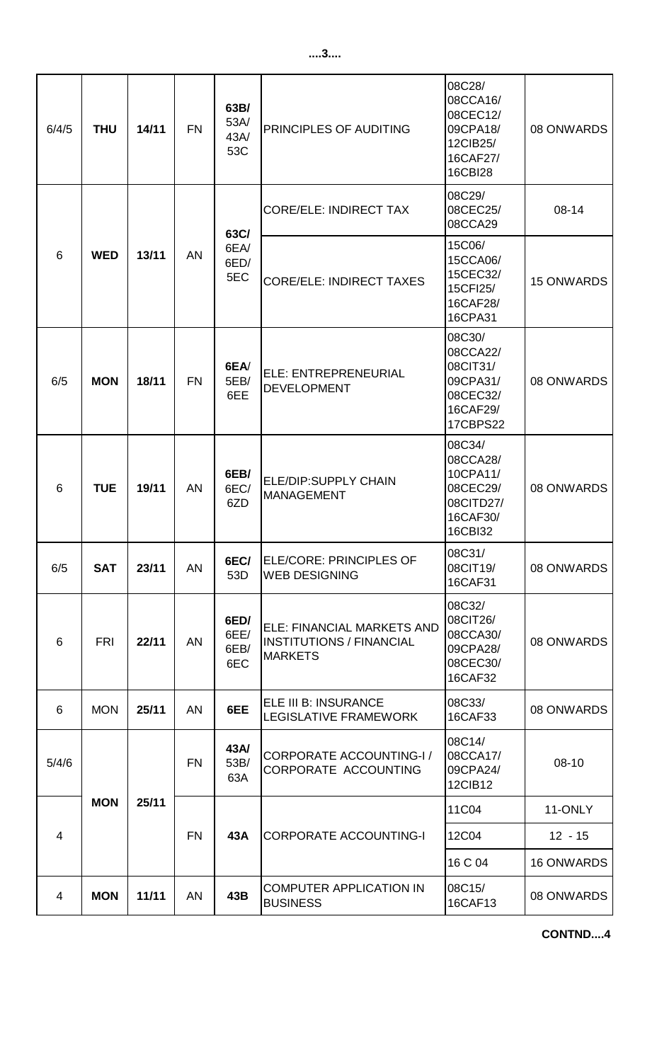| 6/4/5          | <b>THU</b> | 14/11 | <b>FN</b> | 63B/<br>53A/<br>43A/<br>53C | PRINCIPLES OF AUDITING                                                                 | 08C28/<br>08CCA16/<br>08CEC12/<br>09CPA18/<br>12CIB25/<br>16CAF27/<br>16CBI28         | 08 ONWARDS        |
|----------------|------------|-------|-----------|-----------------------------|----------------------------------------------------------------------------------------|---------------------------------------------------------------------------------------|-------------------|
|                |            |       |           | 63C/                        | <b>CORE/ELE: INDIRECT TAX</b>                                                          | 08C29/<br>08CEC25/<br>08CCA29                                                         | $08 - 14$         |
| 6              | <b>WED</b> | 13/11 | <b>AN</b> | 6EA/<br>6ED/<br>5EC         | <b>CORE/ELE: INDIRECT TAXES</b>                                                        | 15C06/<br>15CCA06/<br>15CEC32/<br>15CFI25/<br>16CAF28/<br>16CPA31                     | <b>15 ONWARDS</b> |
| 6/5            | <b>MON</b> | 18/11 | <b>FN</b> | 6EA/<br>5EB/<br>6EE         | ELE: ENTREPRENEURIAL<br><b>DEVELOPMENT</b>                                             | 08C30/<br>08CCA22/<br>08CIT31/<br>09CPA31/<br>08CEC32/<br>16CAF29/<br><b>17CBPS22</b> | 08 ONWARDS        |
| 6              | <b>TUE</b> | 19/11 | <b>AN</b> | 6EB/<br>6EC/<br>6ZD         | <b>ELE/DIP:SUPPLY CHAIN</b><br><b>MANAGEMENT</b>                                       | 08C34/<br>08CCA28/<br>10CPA11/<br>08CEC29/<br>08CITD27/<br>16CAF30/<br>16CBI32        | 08 ONWARDS        |
| 6/5            | <b>SAT</b> | 23/11 | <b>AN</b> | 6EC/<br>53D                 | ELE/CORE: PRINCIPLES OF<br><b>WEB DESIGNING</b>                                        | 08C31/<br>08CIT19/<br>16CAF31                                                         | 08 ONWARDS        |
| $6\phantom{1}$ | <b>FRI</b> | 22/11 | <b>AN</b> | 6ED/<br>6EE/<br>6EB/<br>6EC | <b>ELE: FINANCIAL MARKETS AND</b><br><b>INSTITUTIONS / FINANCIAL</b><br><b>MARKETS</b> | 08C32/<br>08CIT26/<br>08CCA30/<br>09CPA28/<br>08CEC30/<br>16CAF32                     | 08 ONWARDS        |
| 6              | <b>MON</b> | 25/11 | <b>AN</b> | 6EE                         | ELE III B: INSURANCE<br>LEGISLATIVE FRAMEWORK                                          | 08C33/<br>16CAF33                                                                     | 08 ONWARDS        |
| 5/4/6          |            |       | <b>FN</b> | 43A/<br>53B/<br>63A         | <b>CORPORATE ACCOUNTING-I/</b><br>CORPORATE ACCOUNTING                                 | 08C14/<br>08CCA17/<br>09CPA24/<br><b>12CIB12</b>                                      | 08-10             |
|                | <b>MON</b> | 25/11 | <b>FN</b> | 43A                         | <b>CORPORATE ACCOUNTING-I</b>                                                          | 11C04                                                                                 | 11-ONLY           |
| $\overline{4}$ |            |       |           |                             |                                                                                        | 12C04                                                                                 | $12 - 15$         |
|                |            |       |           |                             |                                                                                        | 16 C 04                                                                               | <b>16 ONWARDS</b> |
| 4              | <b>MON</b> | 11/11 | AN        | 43B                         | <b>COMPUTER APPLICATION IN</b><br><b>BUSINESS</b>                                      | 08C15/<br>16CAF13                                                                     | 08 ONWARDS        |

**CONTND....4**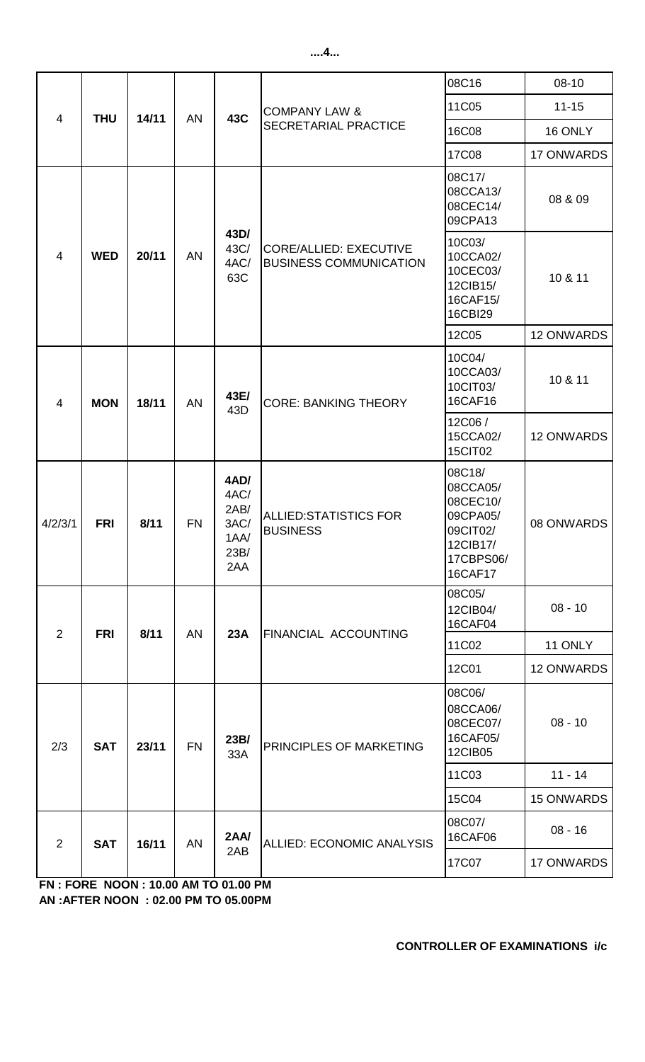## 08C16 | 08-10 11C05 11-15 16C08 16 ONLY 17C08 | 17 ONWARDS 08C17/ 08CCA13/ 08CEC14/ 09CPA13 08 & 09 10C03/ 10CCA02/ 10CEC03/ 12CIB15/ 16CAF15/ 16CBI29 10 & 11 12C05 | 12 ONWARDS 10C04/ 10CCA03/ 10CIT03/ 16CAF16 10 & 11 12C06 / 15CCA02/ 15CIT02 12 ONWARDS 4/2/3/1 **FRI 8/11** FN **4AD/**  4AC/ 2AB/ 3AC/ 1AA/ 23B/ 2AA ALLIED:STATISTICS FOR BUSINESS 08C18/ 08CCA05/ 08CEC10/ 09CPA05/ 09CIT02/ 12CIB17/ 17CBPS06/ 16CAF17 08 ONWARDS 08C05/ 12CIB04/ 16CAF04 11C02 | 11 ONLY 12C01 | 12 ONWARDS 08C06/ 08CCA06/ 08CEC07/ 16CAF05/ 12CIB05 11C03 11 - 14 15C04 15 ONWARDS 08C07/  $16CAF06$  08 - 16 17C07 17 ONWARDS <sup>4</sup> **MON 18/11** AN **43E/**  43E/ CORE: BANKING THEORY CORE/ALLIED: EXECUTIVE BUSINESS COMMUNICATION COMPANY LAW & 4 | **THU** | 14/11 | AN | 43C | SECRETARIAL PRACTICE 4 **WED 20/11** AN **43D/**  43C/ 4AC/ 63C **2AA/**  2AB ALLIED: ECONOMIC ANALYSIS 08 - 10 2/3 **SAT 23/11** FN **23B/**  33A PRINCIPLES OF MARKETING 08 - 10 2 **SAT 16/11** 2 **FRI 8/11** AN **23A** FINANCIAL ACCOUNTING AN

**AN :AFTER NOON : 02.00 PM TO 05.00PM FN : FORE NOON : 10.00 AM TO 01.00 PM**

## **CONTROLLER OF EXAMINATIONS i/c**